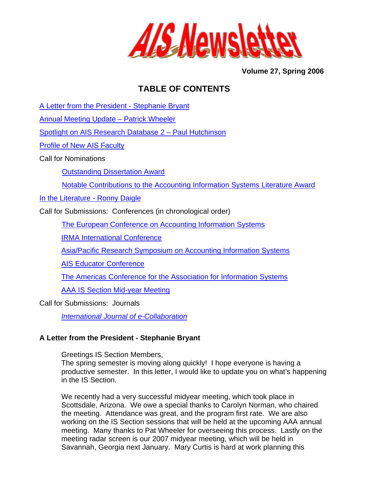

**Volume 27, Spring 2006** 

# **TABLE OF CONTENTS**

<span id="page-0-0"></span>[A Letter from the President - Stephanie Bryant](#page-0-0)

[Annual Meeting Update – Patrick Wheeler](#page-2-0)

[Spotlight on AIS Research Database 2 – Paul Hutchinson](#page-2-0)

[Profile of New AIS Faculty](#page-2-0)

Call for Nominations

**[Outstanding Dissertation Award](#page-3-0)** 

[Notable Contributions to the Accounting Information Systems Literature Award](#page-4-0)

[In the Literature - Ronny Daigle](#page-5-0)

Call for Submissions: Conferences (in chronological order)

[The European Conference on Accounting Information Systems](#page-13-0)

[IRMA International Conference](#page-14-0)

[Asia/Pacific Research Symposium on Accounting Information Systems](#page-14-0)

[AIS Educator Conference](#page-16-0)

[The Americas Conference for the Association for Information Systems](#page-17-0)

[AAA IS Section Mid-year Meeting](#page-17-0)

Call for Submissions: Journals

*[International Journal of e-Collaboration](#page-19-0)*

### **A Letter from the President - Stephanie Bryant**

Greetings IS Section Members,

The spring semester is moving along quickly! I hope everyone is having a productive semester. In this letter, I would like to update you on what's happening in the IS Section.

We recently had a very successful midyear meeting, which took place in Scottsdale, Arizona. We owe a special thanks to Carolyn Norman, who chaired the meeting. Attendance was great, and the program first rate. We are also working on the IS Section sessions that will be held at the upcoming AAA annual meeting. Many thanks to Pat Wheeler for overseeing this process. Lastly on the meeting radar screen is our 2007 midyear meeting, which will be held in Savannah, Georgia next January. Mary Curtis is hard at work planning this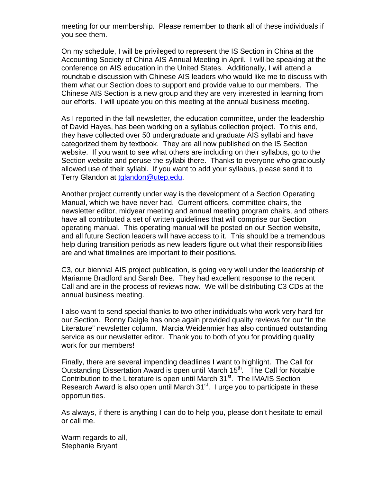meeting for our membership. Please remember to thank all of these individuals if you see them.

On my schedule, I will be privileged to represent the IS Section in China at the Accounting Society of China AIS Annual Meeting in April. I will be speaking at the conference on AIS education in the United States. Additionally, I will attend a roundtable discussion with Chinese AIS leaders who would like me to discuss with them what our Section does to support and provide value to our members. The Chinese AIS Section is a new group and they are very interested in learning from our efforts. I will update you on this meeting at the annual business meeting.

As I reported in the fall newsletter, the education committee, under the leadership of David Hayes, has been working on a syllabus collection project. To this end, they have collected over 50 undergraduate and graduate AIS syllabi and have categorized them by textbook. They are all now published on the IS Section website. If you want to see what others are including on their syllabus, go to the Section website and peruse the syllabi there. Thanks to everyone who graciously allowed use of their syllabi. If you want to add your syllabus, please send it to Terry Glandon at [tglandon@utep.edu](mailto:tglandon@utep.edu).

Another project currently under way is the development of a Section Operating Manual, which we have never had. Current officers, committee chairs, the newsletter editor, midyear meeting and annual meeting program chairs, and others have all contributed a set of written guidelines that will comprise our Section operating manual. This operating manual will be posted on our Section website, and all future Section leaders will have access to it. This should be a tremendous help during transition periods as new leaders figure out what their responsibilities are and what timelines are important to their positions.

C3, our biennial AIS project publication, is going very well under the leadership of Marianne Bradford and Sarah Bee. They had excellent response to the recent Call and are in the process of reviews now. We will be distributing C3 CDs at the annual business meeting.

I also want to send special thanks to two other individuals who work very hard for our Section. Ronny Daigle has once again provided quality reviews for our "In the Literature" newsletter column. Marcia Weidenmier has also continued outstanding service as our newsletter editor. Thank you to both of you for providing quality work for our members!

Finally, there are several impending deadlines I want to highlight. The Call for Outstanding Dissertation Award is open until March 15<sup>th</sup>. The Call for Notable Contribution to the Literature is open until March 31<sup>st</sup>. The IMA/IS Section Research Award is also open until March  $31<sup>st</sup>$ . I urge you to participate in these opportunities.

As always, if there is anything I can do to help you, please don't hesitate to email or call me.

Warm regards to all, Stephanie Bryant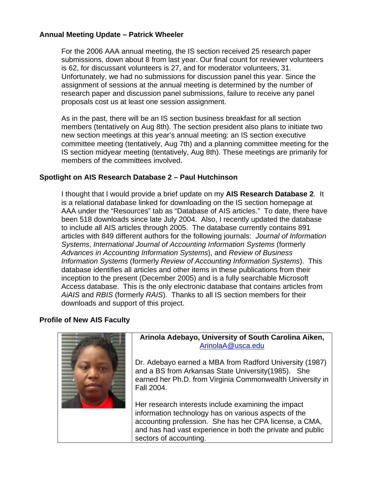## <span id="page-2-0"></span>**Annual Meeting Update – Patrick Wheeler**

For the 2006 AAA annual meeting, the IS section received 25 research paper submissions, down about 8 from last year. Our final count for reviewer volunteers is 62, for discussant volunteers is 27, and for moderator volunteers, 31. Unfortunately, we had no submissions for discussion panel this year. Since the assignment of sessions at the annual meeting is determined by the number of research paper and discussion panel submissions, failure to receive any panel proposals cost us at least one session assignment.

As in the past, there will be an IS section business breakfast for all section members (tentatively on Aug 8th). The section president also plans to initiate two new section meetings at this year's annual meeting: an IS section executive committee meeting (tentatively, Aug 7th) and a planning committee meeting for the IS section midyear meeting (tentatively, Aug 8th). These meetings are primarily for members of the committees involved.

### **Spotlight on AIS Research Database 2 – Paul Hutchinson**

I thought that I would provide a brief update on my **AIS Research Database 2**. It is a relational database linked for downloading on the IS section homepage at AAA under the "Resources" tab as "Database of AIS articles." To date, there have been 518 downloads since late July 2004. Also, I recently updated the database to include all AIS articles through 2005. The database currently contains 891 articles with 849 different authors for the following journals: *Journal of Information Systems*, *International Journal of Accounting Information Systems* (formerly *Advances in Accounting Information Systems*), and *Review of Business Information Systems* (formerly *Review of Accounting Information Systems*). This database identifies all articles and other items in these publications from their inception to the present (December 2005) and is a fully searchable Microsoft Access database. This is the only electronic database that contains articles from *AiAIS* and *RBIS* (formerly *RAIS*). Thanks to all IS section members for their downloads and support of this project.

### **Profile of New AIS Faculty**



**Arinola Adebayo, University of South Carolina Aiken,**  [ArinolaA@usca.edu](mailto:arinolaa@usca.edu)

Dr. Adebayo earned a MBA from Radford University (1987) and a BS from Arkansas State University(1985). She earned her Ph.D. from Virginia Commonwealth University in Fall 2004.

Her research interests include examining the impact information technology has on various aspects of the accounting profession. She has her CPA license, a CMA, and has had vast experience in both the private and public sectors of accounting.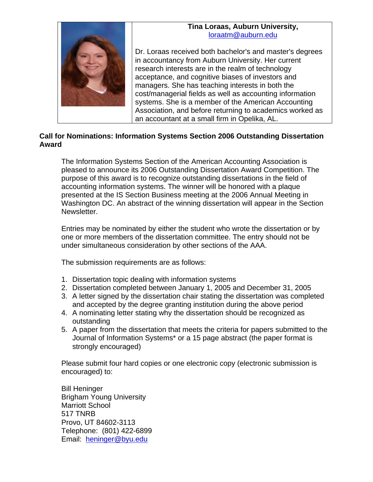#### **Tina Loraas, Auburn University,** [loraatm@auburn.edu](mailto:loraatm@auburn.edu)

<span id="page-3-0"></span>

Dr. Loraas received both bachelor's and master's degrees in accountancy from Auburn University. Her current research interests are in the realm of technology acceptance, and cognitive biases of investors and managers. She has teaching interests in both the cost/managerial fields as well as accounting information systems. She is a member of the American Accounting Association, and before returning to academics worked as an accountant at a small firm in Opelika, AL.

## **Call for Nominations: Information Systems Section 2006 Outstanding Dissertation Award**

The Information Systems Section of the American Accounting Association is pleased to announce its 2006 Outstanding Dissertation Award Competition. The purpose of this award is to recognize outstanding dissertations in the field of accounting information systems. The winner will be honored with a plaque presented at the IS Section Business meeting at the 2006 Annual Meeting in Washington DC. An abstract of the winning dissertation will appear in the Section Newsletter.

Entries may be nominated by either the student who wrote the dissertation or by one or more members of the dissertation committee. The entry should not be under simultaneous consideration by other sections of the AAA.

The submission requirements are as follows:

- 1. Dissertation topic dealing with information systems
- 2. Dissertation completed between January 1, 2005 and December 31, 2005
- 3. A letter signed by the dissertation chair stating the dissertation was completed and accepted by the degree granting institution during the above period
- 4. A nominating letter stating why the dissertation should be recognized as outstanding
- 5. A paper from the dissertation that meets the criteria for papers submitted to the Journal of Information Systems\* or a 15 page abstract (the paper format is strongly encouraged)

Please submit four hard copies or one electronic copy (electronic submission is encouraged) to:

Bill Heninger Brigham Young University Marriott School 517 TNRB Provo, UT 84602-3113 Telephone: (801) 422-6899 Email: [heninger@byu.edu](mailto:heninger@byu.edu)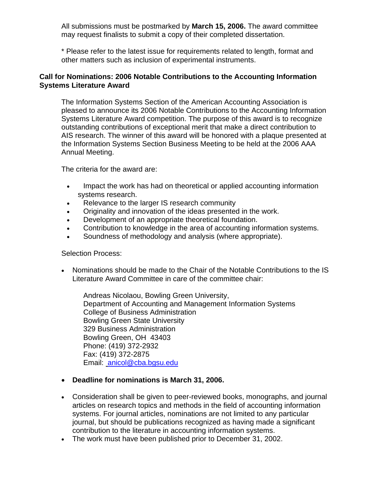<span id="page-4-0"></span>All submissions must be postmarked by **March 15, 2006.** The award committee may request finalists to submit a copy of their completed dissertation.

\* Please refer to the latest issue for requirements related to length, format and other matters such as inclusion of experimental instruments.

### **Call for Nominations: 2006 Notable Contributions to the Accounting Information Systems Literature Award**

The Information Systems Section of the American Accounting Association is pleased to announce its 2006 Notable Contributions to the Accounting Information Systems Literature Award competition. The purpose of this award is to recognize outstanding contributions of exceptional merit that make a direct contribution to AIS research. The winner of this award will be honored with a plaque presented at the Information Systems Section Business Meeting to be held at the 2006 AAA Annual Meeting.

The criteria for the award are:

- Impact the work has had on theoretical or applied accounting information systems research.
- Relevance to the larger IS research community
- Originality and innovation of the ideas presented in the work.
- Development of an appropriate theoretical foundation.
- Contribution to knowledge in the area of accounting information systems.
- Soundness of methodology and analysis (where appropriate).

Selection Process:

• Nominations should be made to the Chair of the Notable Contributions to the IS Literature Award Committee in care of the committee chair:

Andreas Nicolaou, Bowling Green University, Department of Accounting and Management Information Systems College of Business Administration Bowling Green State University 329 Business Administration Bowling Green, OH 43403 Phone: (419) 372-2932 Fax: (419) 372-2875 Email: [anicol@cba.bgsu.edu](mailto:eighmeje@muohio.edu)

- **Deadline for nominations is March 31, 2006.**
- Consideration shall be given to peer-reviewed books, monographs, and journal articles on research topics and methods in the field of accounting information systems. For journal articles, nominations are not limited to any particular journal, but should be publications recognized as having made a significant contribution to the literature in accounting information systems.
- The work must have been published prior to December 31, 2002.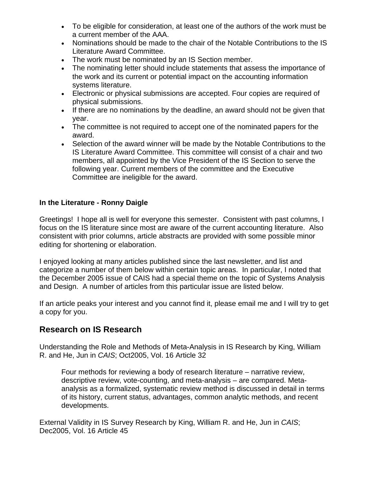- <span id="page-5-0"></span>• To be eligible for consideration, at least one of the authors of the work must be a current member of the AAA.
- Nominations should be made to the chair of the Notable Contributions to the IS Literature Award Committee.
- The work must be nominated by an IS Section member.
- The nominating letter should include statements that assess the importance of the work and its current or potential impact on the accounting information systems literature.
- Electronic or physical submissions are accepted. Four copies are required of physical submissions.
- If there are no nominations by the deadline, an award should not be given that year.
- The committee is not required to accept one of the nominated papers for the award.
- Selection of the award winner will be made by the Notable Contributions to the IS Literature Award Committee. This committee will consist of a chair and two members, all appointed by the Vice President of the IS Section to serve the following year. Current members of the committee and the Executive Committee are ineligible for the award.

## **In the Literature - Ronny Daigle**

Greetings! I hope all is well for everyone this semester. Consistent with past columns, I focus on the IS literature since most are aware of the current accounting literature. Also consistent with prior columns, article abstracts are provided with some possible minor editing for shortening or elaboration.

I enjoyed looking at many articles published since the last newsletter, and list and categorize a number of them below within certain topic areas. In particular, I noted that the December 2005 issue of CAIS had a special theme on the topic of Systems Analysis and Design. A number of articles from this particular issue are listed below.

If an article peaks your interest and you cannot find it, please email me and I will try to get a copy for you.

# **Research on IS Research**

Understanding the Role and Methods of Meta-Analysis in IS Research by King, William R. and He, Jun in *CAIS*; Oct2005, Vol. 16 Article 32

Four methods for reviewing a body of research literature – narrative review, descriptive review, vote-counting, and meta-analysis – are compared. Metaanalysis as a formalized, systematic review method is discussed in detail in terms of its history, current status, advantages, common analytic methods, and recent developments.

External Validity in IS Survey Research by King, William R. and He, Jun in *CAIS*; Dec2005, Vol. 16 Article 45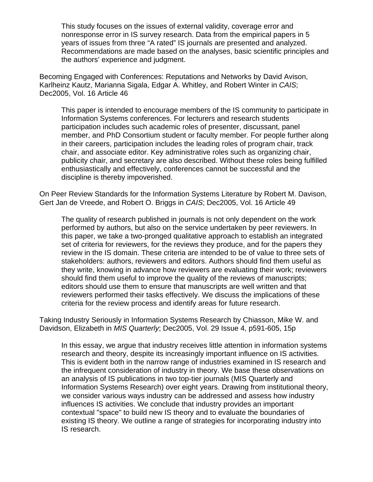This study focuses on the issues of external validity, coverage error and nonresponse error in IS survey research. Data from the empirical papers in 5 years of issues from three "A rated" IS journals are presented and analyzed. Recommendations are made based on the analyses, basic scientific principles and the authors' experience and judgment.

Becoming Engaged with Conferences: Reputations and Networks by David Avison, Karlheinz Kautz, Marianna Sigala, Edgar A. Whitley, and Robert Winter in *CAIS*; Dec2005, Vol. 16 Article 46

This paper is intended to encourage members of the IS community to participate in Information Systems conferences. For lecturers and research students participation includes such academic roles of presenter, discussant, panel member, and PhD Consortium student or faculty member. For people further along in their careers, participation includes the leading roles of program chair, track chair, and associate editor. Key administrative roles such as organizing chair, publicity chair, and secretary are also described. Without these roles being fulfilled enthusiastically and effectively, conferences cannot be successful and the discipline is thereby impoverished.

On Peer Review Standards for the Information Systems Literature by Robert M. Davison, Gert Jan de Vreede, and Robert O. Briggs in *CAIS*; Dec2005, Vol. 16 Article 49

The quality of research published in journals is not only dependent on the work performed by authors, but also on the service undertaken by peer reviewers. In this paper, we take a two-pronged qualitative approach to establish an integrated set of criteria for reviewers, for the reviews they produce, and for the papers they review in the IS domain. These criteria are intended to be of value to three sets of stakeholders: authors, reviewers and editors. Authors should find them useful as they write, knowing in advance how reviewers are evaluating their work; reviewers should find them useful to improve the quality of the reviews of manuscripts; editors should use them to ensure that manuscripts are well written and that reviewers performed their tasks effectively. We discuss the implications of these criteria for the review process and identify areas for future research.

Taking Industry Seriously in Information Systems Research by Chiasson, Mike W. and Davidson, Elizabeth in *MIS Quarterly*; Dec2005, Vol. 29 Issue 4, p591-605, 15p

In this essay, we argue that industry receives little attention in information systems research and theory, despite its increasingly important influence on IS activities. This is evident both in the narrow range of industries examined in IS research and the infrequent consideration of industry in theory. We base these observations on an analysis of IS publications in two top-tier journals (MIS Quarterly and Information Systems Research) over eight years. Drawing from institutional theory, we consider various ways industry can be addressed and assess how industry influences IS activities. We conclude that industry provides an important contextual "space" to build new IS theory and to evaluate the boundaries of existing IS theory. We outline a range of strategies for incorporating industry into IS research.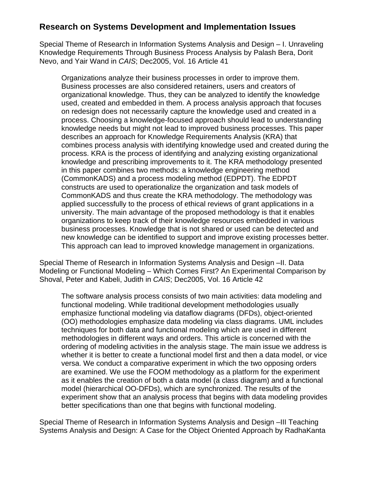# **Research on Systems Development and Implementation Issues**

Special Theme of Research in Information Systems Analysis and Design – I. Unraveling Knowledge Requirements Through Business Process Analysis by Palash Bera, Dorit Nevo, and Yair Wand in *CAIS*; Dec2005, Vol. 16 Article 41

Organizations analyze their business processes in order to improve them. Business processes are also considered retainers, users and creators of organizational knowledge. Thus, they can be analyzed to identify the knowledge used, created and embedded in them. A process analysis approach that focuses on redesign does not necessarily capture the knowledge used and created in a process. Choosing a knowledge-focused approach should lead to understanding knowledge needs but might not lead to improved business processes. This paper describes an approach for Knowledge Requirements Analysis (KRA) that combines process analysis with identifying knowledge used and created during the process. KRA is the process of identifying and analyzing existing organizational knowledge and prescribing improvements to it. The KRA methodology presented in this paper combines two methods: a knowledge engineering method (CommonKADS) and a process modeling method (EDPDT). The EDPDT constructs are used to operationalize the organization and task models of CommonKADS and thus create the KRA methodology. The methodology was applied successfully to the process of ethical reviews of grant applications in a university. The main advantage of the proposed methodology is that it enables organizations to keep track of their knowledge resources embedded in various business processes. Knowledge that is not shared or used can be detected and new knowledge can be identified to support and improve existing processes better. This approach can lead to improved knowledge management in organizations.

Special Theme of Research in Information Systems Analysis and Design –II. Data Modeling or Functional Modeling – Which Comes First? An Experimental Comparison by Shoval, Peter and Kabeli, Judith in *CAIS*; Dec2005, Vol. 16 Article 42

The software analysis process consists of two main activities: data modeling and functional modeling. While traditional development methodologies usually emphasize functional modeling via dataflow diagrams (DFDs), object-oriented (OO) methodologies emphasize data modeling via class diagrams. UML includes techniques for both data and functional modeling which are used in different methodologies in different ways and orders. This article is concerned with the ordering of modeling activities in the analysis stage. The main issue we address is whether it is better to create a functional model first and then a data model, or vice versa. We conduct a comparative experiment in which the two opposing orders are examined. We use the FOOM methodology as a platform for the experiment as it enables the creation of both a data model (a class diagram) and a functional model (hierarchical OO-DFDs), which are synchronized. The results of the experiment show that an analysis process that begins with data modeling provides better specifications than one that begins with functional modeling.

Special Theme of Research in Information Systems Analysis and Design –III Teaching Systems Analysis and Design: A Case for the Object Oriented Approach by RadhaKanta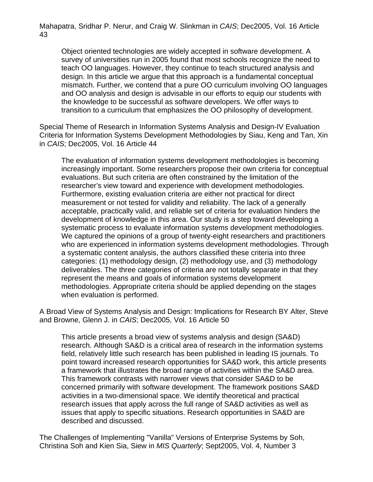Mahapatra, Sridhar P. Nerur, and Craig W. Slinkman in *CAIS*; Dec2005, Vol. 16 Article 43

Object oriented technologies are widely accepted in software development. A survey of universities run in 2005 found that most schools recognize the need to teach OO languages. However, they continue to teach structured analysis and design. In this article we argue that this approach is a fundamental conceptual mismatch. Further, we contend that a pure OO curriculum involving OO languages and OO analysis and design is advisable in our efforts to equip our students with the knowledge to be successful as software developers. We offer ways to transition to a curriculum that emphasizes the OO philosophy of development.

Special Theme of Research in Information Systems Analysis and Design-IV Evaluation Criteria for Information Systems Development Methodologies by Siau, Keng and Tan, Xin in *CAIS*; Dec2005, Vol. 16 Article 44

The evaluation of information systems development methodologies is becoming increasingly important. Some researchers propose their own criteria for conceptual evaluations. But such criteria are often constrained by the limitation of the researcher's view toward and experience with development methodologies. Furthermore, existing evaluation criteria are either not practical for direct measurement or not tested for validity and reliability. The lack of a generally acceptable, practically valid, and reliable set of criteria for evaluation hinders the development of knowledge in this area. Our study is a step toward developing a systematic process to evaluate information systems development methodologies. We captured the opinions of a group of twenty-eight researchers and practitioners who are experienced in information systems development methodologies. Through a systematic content analysis, the authors classified these criteria into three categories: (1) methodology design, (2) methodology use, and (3) methodology deliverables. The three categories of criteria are not totally separate in that they represent the means and goals of information systems development methodologies. Appropriate criteria should be applied depending on the stages when evaluation is performed.

A Broad View of Systems Analysis and Design: Implications for Research BY Alter, Steve and Browne, Glenn J. in *CAIS*; Dec2005, Vol. 16 Article 50

This article presents a broad view of systems analysis and design (SA&D) research. Although SA&D is a critical area of research in the information systems field, relatively little such research has been published in leading IS journals. To point toward increased research opportunities for SA&D work, this article presents a framework that illustrates the broad range of activities within the SA&D area. This framework contrasts with narrower views that consider SA&D to be concerned primarily with software development. The framework positions SA&D activities in a two-dimensional space. We identify theoretical and practical research issues that apply across the full range of SA&D activities as well as issues that apply to specific situations. Research opportunities in SA&D are described and discussed.

The Challenges of Implementing "Vanilla" Versions of Enterprise Systems by Soh, Christina Soh and Kien Sia, Siew in *MIS Quarterly*; Sept2005, Vol. 4, Number 3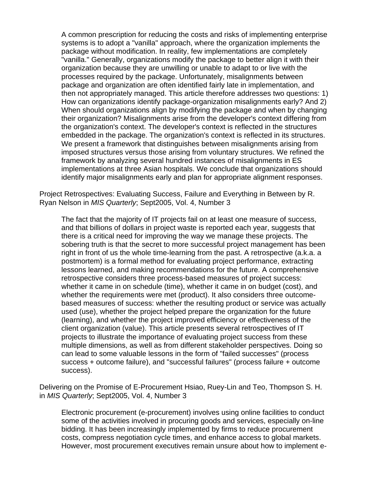A common prescription for reducing the costs and risks of implementing enterprise systems is to adopt a "vanilla" approach, where the organization implements the package without modification. In reality, few implementations are completely "vanilla." Generally, organizations modify the package to better align it with their organization because they are unwilling or unable to adapt to or live with the processes required by the package. Unfortunately, misalignments between package and organization are often identified fairly late in implementation, and then not appropriately managed. This article therefore addresses two questions: 1) How can organizations identify package-organization misalignments early? And 2) When should organizations align by modifying the package and when by changing their organization? Misalignments arise from the developer's context differing from the organization's context. The developer's context is reflected in the structures embedded in the package. The organization's context is reflected in its structures. We present a framework that distinguishes between misalignments arising from imposed structures versus those arising from voluntary structures. We refined the framework by analyzing several hundred instances of misalignments in ES implementations at three Asian hospitals. We conclude that organizations should identify major misalignments early and plan for appropriate alignment responses.

Project Retrospectives: Evaluating Success, Failure and Everything in Between by R. Ryan Nelson in *MIS Quarterly*; Sept2005, Vol. 4, Number 3

The fact that the majority of IT projects fail on at least one measure of success, and that billions of dollars in project waste is reported each year, suggests that there is a critical need for improving the way we manage these projects. The sobering truth is that the secret to more successful project management has been right in front of us the whole time-learning from the past. A retrospective (a.k.a. a postmortem) is a formal method for evaluating project performance, extracting lessons learned, and making recommendations for the future. A comprehensive retrospective considers three process-based measures of project success: whether it came in on schedule (time), whether it came in on budget (cost), and whether the requirements were met (product). It also considers three outcomebased measures of success: whether the resulting product or service was actually used (use), whether the project helped prepare the organization for the future (learning), and whether the project improved efficiency or effectiveness of the client organization (value). This article presents several retrospectives of IT projects to illustrate the importance of evaluating project success from these multiple dimensions, as well as from different stakeholder perspectives. Doing so can lead to some valuable lessons in the form of "failed successes" (process success + outcome failure), and "successful failures" (process failure + outcome success).

Delivering on the Promise of E-Procurement Hsiao, Ruey-Lin and Teo, Thompson S. H. in *MIS Quarterly*; Sept2005, Vol. 4, Number 3

Electronic procurement (e-procurement) involves using online facilities to conduct some of the activities involved in procuring goods and services, especially on-line bidding. It has been increasingly implemented by firms to reduce procurement costs, compress negotiation cycle times, and enhance access to global markets. However, most procurement executives remain unsure about how to implement e-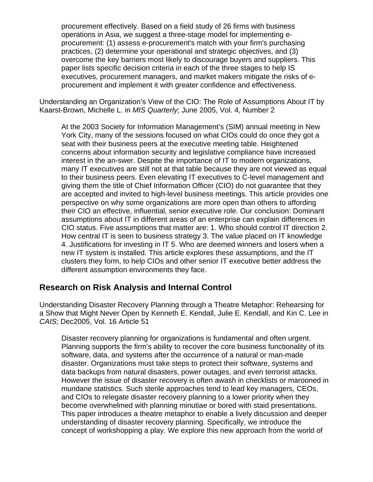procurement effectively. Based on a field study of 26 firms with business operations in Asia, we suggest a three-stage model for implementing eprocurement: (1) assess e-procurement's match with your firm's purchasing practices, (2) determine your operational and strategic objectives, and (3) overcome the key barriers most likely to discourage buyers and suppliers. This paper lists specific decision criteria in each of the three stages to help IS executives, procurement managers, and market makers mitigate the risks of eprocurement and implement it with greater confidence and effectiveness.

Understanding an Organization's View of the CIO: The Role of Assumptions About IT by Kaarst-Brown, Michelle L. in *MIS Quarterly*; June 2005, Vol. 4, Number 2

At the 2003 Society for Information Management's (SIM) annual meeting in New York City, many of the sessions focused on what CIOs could do once they got a seat with their business peers at the executive meeting table. Heightened concerns about information security and legislative compliance have increased interest in the an-swer. Despite the importance of IT to modern organizations, many IT executives are still not at that table because they are not viewed as equal to their business peers. Even elevating IT executives to C-level management and giving them the title of Chief Information Officer (CIO) do not guarantee that they are accepted and invited to high-level business meetings. This article provides one perspective on why some organizations are more open than others to affording their CIO an effective, influential, senior executive role. Our conclusion: Dominant assumptions about IT in different areas of an enterprise can explain differences in CIO status. Five assumptions that matter are: 1. Who should control IT direction 2. How central IT is seen to business strategy 3. The value placed on IT knowledge 4. Justifications for investing in IT 5. Who are deemed winners and losers when a new IT system is installed. This article explores these assumptions, and the IT clusters they form, to help CIOs and other senior IT executive better address the different assumption environments they face.

# **Research on Risk Analysis and Internal Control**

Understanding Disaster Recovery Planning through a Theatre Metaphor: Rehearsing for a Show that Might Never Open by Kenneth E. Kendall, Julie E. Kendall, and Kin C. Lee in *CAIS*; Dec2005, Vol. 16 Article 51

Disaster recovery planning for organizations is fundamental and often urgent. Planning supports the firm's ability to recover the core business functionality of its software, data, and systems after the occurrence of a natural or man-made disaster. Organizations must take steps to protect their software, systems and data backups from natural disasters, power outages, and even terrorist attacks. However the issue of disaster recovery is often awash in checklists or marooned in mundane statistics. Such sterile approaches tend to lead key managers, CEOs, and CIOs to relegate disaster recovery planning to a lower priority when they become overwhelmed with planning minutiae or bored with staid presentations. This paper introduces a theatre metaphor to enable a lively discussion and deeper understanding of disaster recovery planning. Specifically, we introduce the concept of workshopping a play. We explore this new approach from the world of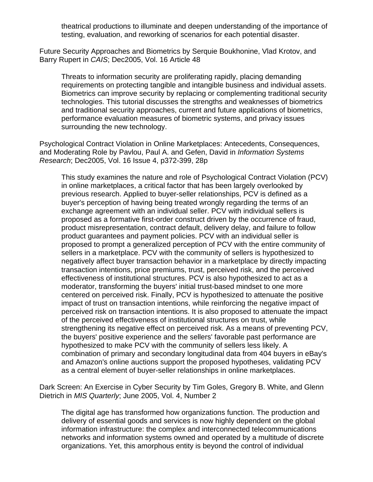theatrical productions to illuminate and deepen understanding of the importance of testing, evaluation, and reworking of scenarios for each potential disaster.

Future Security Approaches and Biometrics by Serquie Boukhonine, Vlad Krotov, and Barry Rupert in *CAIS*; Dec2005, Vol. 16 Article 48

Threats to information security are proliferating rapidly, placing demanding requirements on protecting tangible and intangible business and individual assets. Biometrics can improve security by replacing or complementing traditional security technologies. This tutorial discusses the strengths and weaknesses of biometrics and traditional security approaches, current and future applications of biometrics, performance evaluation measures of biometric systems, and privacy issues surrounding the new technology.

Psychological Contract Violation in Online Marketplaces: Antecedents, Consequences, and Moderating Role by Pavlou, Paul A. and Gefen, David in *Information Systems Research*; Dec2005, Vol. 16 Issue 4, p372-399, 28p

This study examines the nature and role of Psychological Contract Violation (PCV) in online marketplaces, a critical factor that has been largely overlooked by previous research. Applied to buyer-seller relationships, PCV is defined as a buyer's perception of having being treated wrongly regarding the terms of an exchange agreement with an individual seller. PCV with individual sellers is proposed as a formative first-order construct driven by the occurrence of fraud, product misrepresentation, contract default, delivery delay, and failure to follow product guarantees and payment policies. PCV with an individual seller is proposed to prompt a generalized perception of PCV with the entire community of sellers in a marketplace. PCV with the community of sellers is hypothesized to negatively affect buyer transaction behavior in a marketplace by directly impacting transaction intentions, price premiums, trust, perceived risk, and the perceived effectiveness of institutional structures. PCV is also hypothesized to act as a moderator, transforming the buyers' initial trust-based mindset to one more centered on perceived risk. Finally, PCV is hypothesized to attenuate the positive impact of trust on transaction intentions, while reinforcing the negative impact of perceived risk on transaction intentions. It is also proposed to attenuate the impact of the perceived effectiveness of institutional structures on trust, while strengthening its negative effect on perceived risk. As a means of preventing PCV, the buyers' positive experience and the sellers' favorable past performance are hypothesized to make PCV with the community of sellers less likely. A combination of primary and secondary longitudinal data from 404 buyers in eBay's and Amazon's online auctions support the proposed hypotheses, validating PCV as a central element of buyer-seller relationships in online marketplaces.

Dark Screen: An Exercise in Cyber Security by Tim Goles, Gregory B. White, and Glenn Dietrich in *MIS Quarterly*; June 2005, Vol. 4, Number 2

The digital age has transformed how organizations function. The production and delivery of essential goods and services is now highly dependent on the global information infrastructure: the complex and interconnected telecommunications networks and information systems owned and operated by a multitude of discrete organizations. Yet, this amorphous entity is beyond the control of individual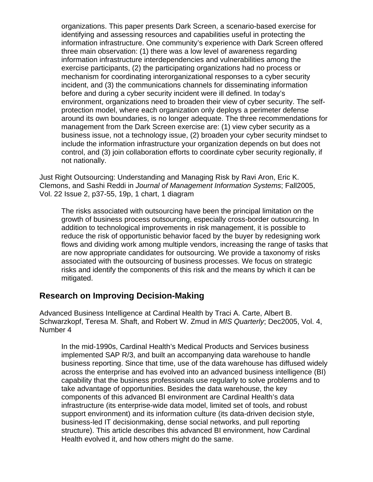organizations. This paper presents Dark Screen, a scenario-based exercise for identifying and assessing resources and capabilities useful in protecting the information infrastructure. One community's experience with Dark Screen offered three main observation: (1) there was a low level of awareness regarding information infrastructure interdependencies and vulnerabilities among the exercise participants, (2) the participating organizations had no process or mechanism for coordinating interorganizational responses to a cyber security incident, and (3) the communications channels for disseminating information before and during a cyber security incident were ill defined. In today's environment, organizations need to broaden their view of cyber security. The selfprotection model, where each organization only deploys a perimeter defense around its own boundaries, is no longer adequate. The three recommendations for management from the Dark Screen exercise are: (1) view cyber security as a business issue, not a technology issue, (2) broaden your cyber security mindset to include the information infrastructure your organization depends on but does not control, and (3) join collaboration efforts to coordinate cyber security regionally, if not nationally.

Just Right Outsourcing: Understanding and Managing Risk by Ravi Aron, Eric K. Clemons, and Sashi Reddi in *Journal of Management Information Systems*; Fall2005, Vol. 22 Issue 2, p37-55, 19p, 1 chart, 1 diagram

The risks associated with outsourcing have been the principal limitation on the growth of business process outsourcing, especially cross-border outsourcing. In addition to technological improvements in risk management, it is possible to reduce the risk of opportunistic behavior faced by the buyer by redesigning work flows and dividing work among multiple vendors, increasing the range of tasks that are now appropriate candidates for outsourcing. We provide a taxonomy of risks associated with the outsourcing of business processes. We focus on strategic risks and identify the components of this risk and the means by which it can be mitigated.

# **Research on Improving Decision-Making**

Advanced Business Intelligence at Cardinal Health by Traci A. Carte, Albert B. Schwarzkopf, Teresa M. Shaft, and Robert W. Zmud in *MIS Quarterly*; Dec2005, Vol. 4, Number 4

In the mid-1990s, Cardinal Health's Medical Products and Services business implemented SAP R/3, and built an accompanying data warehouse to handle business reporting. Since that time, use of the data warehouse has diffused widely across the enterprise and has evolved into an advanced business intelligence (BI) capability that the business professionals use regularly to solve problems and to take advantage of opportunities. Besides the data warehouse, the key components of this advanced BI environment are Cardinal Health's data infrastructure (its enterprise-wide data model, limited set of tools, and robust support environment) and its information culture (its data-driven decision style, business-led IT decisionmaking, dense social networks, and pull reporting structure). This article describes this advanced BI environment, how Cardinal Health evolved it, and how others might do the same.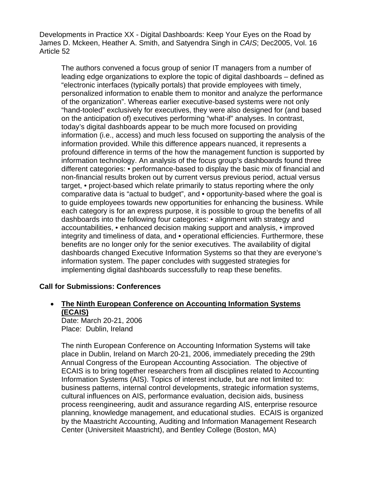<span id="page-13-0"></span>Developments in Practice XX - Digital Dashboards: Keep Your Eyes on the Road by James D. Mckeen, Heather A. Smith, and Satyendra Singh in *CAIS*; Dec2005, Vol. 16 Article 52

The authors convened a focus group of senior IT managers from a number of leading edge organizations to explore the topic of digital dashboards – defined as "electronic interfaces (typically portals) that provide employees with timely, personalized information to enable them to monitor and analyze the performance of the organization". Whereas earlier executive-based systems were not only "hand-tooled" exclusively for executives, they were also designed for (and based on the anticipation of) executives performing "what-if" analyses. In contrast, today's digital dashboards appear to be much more focused on providing information (i.e., access) and much less focused on supporting the analysis of the information provided. While this difference appears nuanced, it represents a profound difference in terms of the how the management function is supported by information technology. An analysis of the focus group's dashboards found three different categories: • performance-based to display the basic mix of financial and non-financial results broken out by current versus previous period, actual versus target, • project-based which relate primarily to status reporting where the only comparative data is "actual to budget", and • opportunity-based where the goal is to guide employees towards new opportunities for enhancing the business. While each category is for an express purpose, it is possible to group the benefits of all dashboards into the following four categories: • alignment with strategy and accountabilities, • enhanced decision making support and analysis, • improved integrity and timeliness of data, and • operational efficiencies. Furthermore, these benefits are no longer only for the senior executives. The availability of digital dashboards changed Executive Information Systems so that they are everyone's information system. The paper concludes with suggested strategies for implementing digital dashboards successfully to reap these benefits.

### **Call for Submissions: Conferences**

# • **The Ninth European Conference on Accounting Information Systems (ECAIS)**

Date: March 20-21, 2006 Place: Dublin, Ireland

The ninth European Conference on Accounting Information Systems will take place in Dublin, Ireland on March 20-21, 2006, immediately preceding the 29th Annual Congress of the European Accounting Association. The objective of ECAIS is to bring together researchers from all disciplines related to Accounting Information Systems (AIS). Topics of interest include, but are not limited to: business patterns, internal control developments, strategic information systems, cultural influences on AIS, performance evaluation, decision aids, business process reengineering, audit and assurance regarding AIS, enterprise resource planning, knowledge management, and educational studies. ECAIS is organized by the Maastricht Accounting, Auditing and Information Management Research Center (Universiteit Maastricht), and Bentley College (Boston, MA)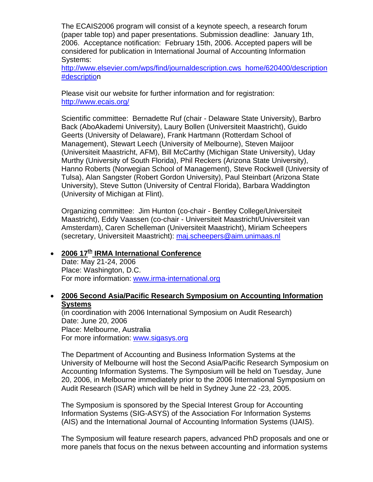<span id="page-14-0"></span>The ECAIS2006 program will consist of a keynote speech, a research forum (paper table top) and paper presentations. Submission deadline: January 1th, 2006. Acceptance notification: February 15th, 2006. Accepted papers will be considered for publication in International Journal of Accounting Information Systems:

http://www.elsevier.com/wps/find/journaldescription.cws\_home/620400/description #description

Please visit our website for further information and for registration: <http://www.ecais.org/>

Scientific committee: Bernadette Ruf (chair - Delaware State University), Barbro Back (AboAkademi University), Laury Bollen (Universiteit Maastricht), Guido Geerts (University of Delaware), Frank Hartmann (Rotterdam School of Management), Stewart Leech (University of Melbourne), Steven Maijoor (Universiteit Maastricht, AFM), Bill McCarthy (Michigan State University), Uday Murthy (University of South Florida), Phil Reckers (Arizona State University), Hanno Roberts (Norwegian School of Management), Steve Rockwell (University of Tulsa), Alan Sangster (Robert Gordon University), Paul Steinbart (Arizona State University), Steve Sutton (University of Central Florida), Barbara Waddington (University of Michigan at Flint).

Organizing committee: Jim Hunton (co-chair - Bentley College/Universiteit Maastricht), Eddy Vaassen (co-chair - Universiteit Maastricht/Universiteit van Amsterdam), Caren Schelleman (Universiteit Maastricht), Miriam Scheepers (secretary, Universiteit Maastricht): maj.scheepers@aim.unimaas.nl

# • **2006 17th IRMA International Conference**

Date: May 21-24, 2006 Place: Washington, D.C. For more information: [www.irma-international.org](http://www.irma-international.org/) 

#### • **2006 Second Asia/Pacific Research Symposium on Accounting Information Systems**

(in coordination with 2006 International Symposium on Audit Research) Date: June 20, 2006 Place: Melbourne, Australia For more information: [www.sigasys.org](http://www.sigasys.org/) 

The Department of Accounting and Business Information Systems at the University of Melbourne will host the Second Asia/Pacific Research Symposium on Accounting Information Systems. The Symposium will be held on Tuesday, June 20, 2006, in Melbourne immediately prior to the 2006 International Symposium on Audit Research (ISAR) which will be held in Sydney June 22 -23, 2005.

The Symposium is sponsored by the Special Interest Group for Accounting Information Systems (SIG-ASYS) of the Association For Information Systems (AIS) and the International Journal of Accounting Information Systems (IJAIS).

The Symposium will feature research papers, advanced PhD proposals and one or more panels that focus on the nexus between accounting and information systems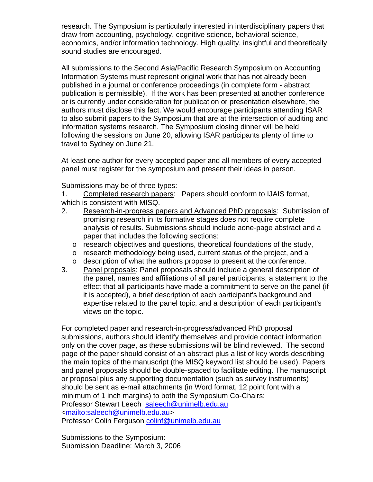research. The Symposium is particularly interested in interdisciplinary papers that draw from accounting, psychology, cognitive science, behavioral science, economics, and/or information technology. High quality, insightful and theoretically sound studies are encouraged.

All submissions to the Second Asia/Pacific Research Symposium on Accounting Information Systems must represent original work that has not already been published in a journal or conference proceedings (in complete form - abstract publication is permissible). If the work has been presented at another conference or is currently under consideration for publication or presentation elsewhere, the authors must disclose this fact. We would encourage participants attending ISAR to also submit papers to the Symposium that are at the intersection of auditing and information systems research. The Symposium closing dinner will be held following the sessions on June 20, allowing ISAR participants plenty of time to travel to Sydney on June 21.

At least one author for every accepted paper and all members of every accepted panel must register for the symposium and present their ideas in person.

Submissions may be of three types:

1. Completed research papers: Papers should conform to IJAIS format, which is consistent with MISQ.

- 2. Research-in-progress papers and Advanced PhD proposals: Submission of promising research in its formative stages does not require complete analysis of results. Submissions should include aone-page abstract and a paper that includes the following sections:
	- o research objectives and questions, theoretical foundations of the study,
	- o research methodology being used, current status of the project, and a
	- o description of what the authors propose to present at the conference.
- 3. Panel proposals: Panel proposals should include a general description of the panel, names and affiliations of all panel participants, a statement to the effect that all participants have made a commitment to serve on the panel (if it is accepted), a brief description of each participant's background and expertise related to the panel topic, and a description of each participant's views on the topic.

For completed paper and research-in-progress/advanced PhD proposal submissions, authors should identify themselves and provide contact information only on the cover page, as these submissions will be blind reviewed. The second page of the paper should consist of an abstract plus a list of key words describing the main topics of the manuscript (the MISQ keyword list should be used). Papers and panel proposals should be double-spaced to facilitate editing. The manuscript or proposal plus any supporting documentation (such as survey instruments) should be sent as e-mail attachments (in Word format, 12 point font with a minimum of 1 inch margins) to both the Symposium Co-Chairs: Professor Stewart Leech saleech@unimelb.edu.au <mailto:saleech@unimelb.edu.au> Professor Colin Ferguson colinf@unimelb.edu.au

Submissions to the Symposium: Submission Deadline: March 3, 2006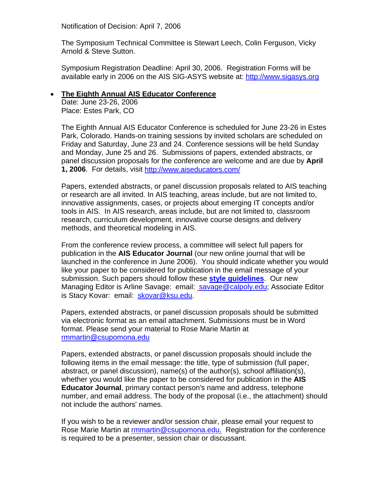<span id="page-16-0"></span>Notification of Decision: April 7, 2006

The Symposium Technical Committee is Stewart Leech, Colin Ferguson, Vicky Arnold & Steve Sutton.

Symposium Registration Deadline: April 30, 2006. Registration Forms will be available early in 2006 on the AIS SIG-ASYS website at: [http://www.sigasys.org](http://www.sigasys.org/)

#### • **The Eighth Annual AIS Educator Conference**

Date: June 23-26, 2006 Place: Estes Park, CO

The Eighth Annual AIS Educator Conference is scheduled for June 23-26 in Estes Park, Colorado. Hands-on training sessions by invited scholars are scheduled on Friday and Saturday, June 23 and 24. Conference sessions will be held Sunday and Monday, June 25 and 26. Submissions of papers, extended abstracts, or panel discussion proposals for the conference are welcome and are due by **April 1, 2006**. For details, visit <http://www.aiseducators.com/>

Papers, extended abstracts, or panel discussion proposals related to AIS teaching or research are all invited. In AIS teaching, areas include, but are not limited to, innovative assignments, cases, or projects about emerging IT concepts and/or tools in AIS. In AIS research, areas include, but are not limited to, classroom research, curriculum development, innovative course designs and delivery methods, and theoretical modeling in AIS.

From the conference review process, a committee will select full papers for publication in the **AIS Educator Journal** (our new online journal that will be launched in the conference in June 2006). You should indicate whether you would like your paper to be considered for publication in the email message of your submission. Such papers should follow these **[style guidelines](http://www.aiseducators.com/PDFs/AIS Educator journal Information for Authors.doc)**. Our new Managing Editor is Arline Savage: email: [savage@calpoly.edu](mailto:savage@calpoly.edu); Associate Editor is Stacy Kovar: email: [skovar@ksu.edu.](mailto:skovar@ksu.edu)

Papers, extended abstracts, or panel discussion proposals should be submitted via electronic format as an email attachment. Submissions must be in Word format. Please send your material to Rose Marie Martin at [rmmartin@csupomona.edu](mailto:rmmartin@csupomona.edu)

Papers, extended abstracts, or panel discussion proposals should include the following items in the email message: the title, type of submission (full paper, abstract, or panel discussion), name(s) of the author(s), school affiliation(s), whether you would like the paper to be considered for publication in the **AIS Educator Journal**, primary contact person's name and address, telephone number, and email address. The body of the proposal (i.e., the attachment) should not include the authors' names.

If you wish to be a reviewer and/or session chair, please email your request to Rose Marie Martin at [rmmartin@csupomona.edu](mailto:rmmartin@csupomona.edu). Registration for the conference is required to be a presenter, session chair or discussant.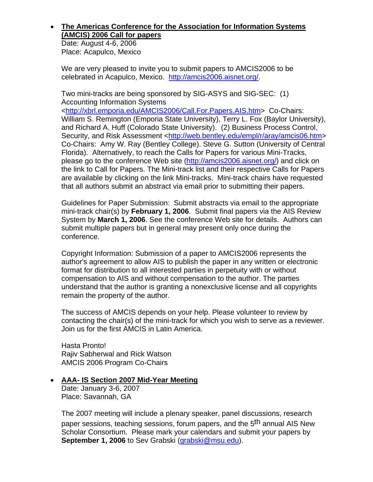## <span id="page-17-0"></span>• **The Americas Conference for the Association for Information Systems (AMCIS) 2006 Call for papers**

Date: August 4-6, 2006 Place: Acapulco, Mexico

We are very pleased to invite you to submit papers to AMCIS2006 to be celebrated in Acapulco, Mexico. <http://amcis2006.aisnet.org/>.

Two mini-tracks are being sponsored by SIG-ASYS and SIG-SEC: (1) Accounting Information Systems

<[http://xbrl.emporia.edu/AMCIS2006/Call.For.Papers.AIS.htm>](http://xbrl.emporia.edu/AMCIS2006/Call.For.Papers.AIS.htm) Co-Chairs: William S. Remington (Emporia State University), Terry L. Fox (Baylor University), and Richard A. Huff (Colorado State University). (2) Business Process Control, Security, and Risk Assessment <[http://web.bentley.edu/empl/r/aray/amcis06.htm>](http://web.bentley.edu/empl/r/aray/amcis06.htm) Co-Chairs: Amy W. Ray (Bentley College). Steve G. Sutton (University of Central Florida). Alternatively, to reach the Calls for Papers for various Mini-Tracks, please go to the conference Web site [\(http://amcis2006.aisnet.org/\)](http://amcis2006.aisnet.org/) and click on the link to Call for Papers. The Mini-track list and their respective Calls for Papers are available by clicking on the link Mini-tracks. Mini-track chairs have requested that all authors submit an abstract via email prior to submitting their papers.

Guidelines for Paper Submission: Submit abstracts via email to the appropriate mini-track chair(s) by **February 1, 2006**. Submit final papers via the AIS Review System by **March 1, 2006**. See the conference Web site for details. Authors can submit multiple papers but in general may present only once during the conference.

Copyright Information: Submission of a paper to AMCIS2006 represents the author's agreement to allow AIS to publish the paper in any written or electronic format for distribution to all interested parties in perpetuity with or without compensation to AIS and without compensation to the author. The parties understand that the author is granting a nonexclusive license and all copyrights remain the property of the author.

The success of AMCIS depends on your help. Please volunteer to review by contacting the chair(s) of the mini-track for which you wish to serve as a reviewer. Join us for the first AMCIS in Latin America.

Hasta Pronto! Rajiv Sabherwal and Rick Watson AMCIS 2006 Program Co-Chairs

• **AAA- IS Section 2007 Mid-Year Meeting**

Date: January 3-6, 2007 Place: Savannah, GA

The 2007 meeting will include a plenary speaker, panel discussions, research paper sessions, teaching sessions, forum papers, and the 5<sup>th</sup> annual AIS New Scholar Consortium. Please mark your calendars and submit your papers by **September 1, 2006** to Sev Grabski ([grabski@msu.edu](mailto:grabski@msu.edu)).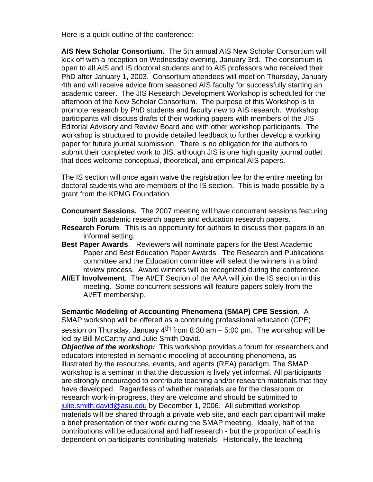Here is a quick outline of the conference:

**AIS New Scholar Consortium.** The 5th annual AIS New Scholar Consortium will kick off with a reception on Wednesday evening, January 3rd. The consortium is open to all AIS and IS doctoral students and to AIS professors who received their PhD after January 1, 2003. Consortium attendees will meet on Thursday, January 4th and will receive advice from seasoned AIS faculty for successfully starting an academic career. The JIS Research Development Workshop is scheduled for the afternoon of the New Scholar Consortium. The purpose of this Workshop is to promote research by PhD students and faculty new to AIS research. Workshop participants will discuss drafts of their working papers with members of the JIS Editorial Advisory and Review Board and with other workshop participants. The workshop is structured to provide detailed feedback to further develop a working paper for future journal submission. There is no obligation for the authors to submit their completed work to JIS, although JIS is one high quality journal outlet that does welcome conceptual, theoretical, and empirical AIS papers.

The IS section will once again waive the registration fee for the entire meeting for doctoral students who are members of the IS section. This is made possible by a grant from the KPMG Foundation.

- **Concurrent Sessions.** The 2007 meeting will have concurrent sessions featuring both academic research papers and education research papers.
- **Research Forum**. This is an opportunity for authors to discuss their papers in an informal setting.
- **Best Paper Awards**. Reviewers will nominate papers for the Best Academic Paper and Best Education Paper Awards. The Research and Publications committee and the Education committee will select the winners in a blind review process. Award winners will be recognized during the conference.
- **AI/ET Involvement**. The AI/ET Section of the AAA will join the IS section in this meeting. Some concurrent sessions will feature papers solely from the AI/ET membership.

**Semantic Modeling of Accounting Phenomena (SMAP) CPE Session.** A SMAP workshop will be offered as a continuing professional education (CPE) session on Thursday, January  $4<sup>th</sup>$  from 8:30 am – 5:00 pm. The workshop will be led by Bill McCarthy and Julie Smith David.

**Objective of the workshop:** This workshop provides a forum for researchers and educators interested in semantic modeling of accounting phenomena, as illustrated by the resources, events, and agents (REA) paradigm. The SMAP workshop is a seminar in that the discussion is lively yet informal. All participants are strongly encouraged to contribute teaching and/or research materials that they have developed. Regardless of whether materials are for the classroom or research work-in-progress, they are welcome and should be submitted to [julie.smith.david@asu.edu](mailto:julie.smith.david@asu.edu) by December 1, 2006. All submitted workshop materials will be shared through a private web site, and each participant will make a brief presentation of their work during the SMAP meeting. Ideally, half of the contributions will be educational and half research - but the proportion of each is dependent on participants contributing materials! Historically, the teaching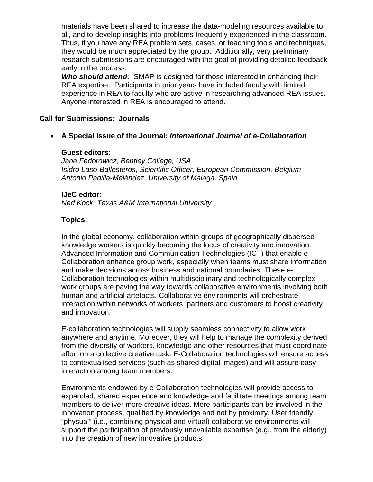<span id="page-19-0"></span>materials have been shared to increase the data-modeling resources available to all, and to develop insights into problems frequently experienced in the classroom. Thus, if you have any REA problem sets, cases, or teaching tools and techniques, they would be much appreciated by the group. Additionally, very preliminary research submissions are encouraged with the goal of providing detailed feedback early in the process.

*Who should attend:* SMAP is designed for those interested in enhancing their REA expertise. Participants in prior years have included faculty with limited experience in REA to faculty who are active in researching advanced REA issues. Anyone interested in REA is encouraged to attend.

#### **Call for Submissions: Journals**

• **A Special Issue of the Journal:** *International Journal of e-Collaboration*

#### **Guest editors:**

*Jane Fedorowicz, Bentley College, USA Isidro Laso-Ballesteros, Scientific Officer, European Commission, Belgium Antonio Padilla-Meléndez, University of Málaga, Spain* 

#### **IJeC editor:**

*Ned Kock, Texas A&M International University* 

#### **Topics:**

In the global economy, collaboration within groups of geographically dispersed knowledge workers is quickly becoming the locus of creativity and innovation. Advanced Information and Communication Technologies (ICT) that enable e-Collaboration enhance group work, especially when teams must share information and make decisions across business and national boundaries. These e-Collaboration technologies within multidisciplinary and technologically complex work groups are paving the way towards collaborative environments involving both human and artificial artefacts. Collaborative environments will orchestrate interaction within networks of workers, partners and customers to boost creativity and innovation.

E-collaboration technologies will supply seamless connectivity to allow work anywhere and anytime. Moreover, they will help to manage the complexity derived from the diversity of workers, knowledge and other resources that must coordinate effort on a collective creative task. E-Collaboration technologies will ensure access to contextualised services (such as shared digital images) and will assure easy interaction among team members.

Environments endowed by e-Collaboration technologies will provide access to expanded, shared experience and knowledge and facilitate meetings among team members to deliver more creative ideas. More participants can be involved in the innovation process, qualified by knowledge and not by proximity. User friendly "physual" (i.e., combining physical and virtual) collaborative environments will support the participation of previously unavailable expertise (e.g., from the elderly) into the creation of new innovative products.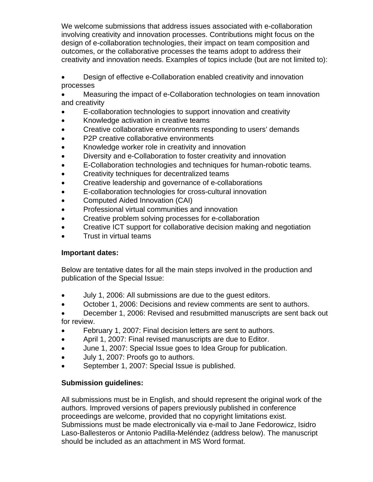We welcome submissions that address issues associated with e-collaboration involving creativity and innovation processes. Contributions might focus on the design of e-collaboration technologies, their impact on team composition and outcomes, or the collaborative processes the teams adopt to address their creativity and innovation needs. Examples of topics include (but are not limited to):

• Design of effective e-Collaboration enabled creativity and innovation processes

• Measuring the impact of e-Collaboration technologies on team innovation and creativity

- E-collaboration technologies to support innovation and creativity
- Knowledge activation in creative teams
- Creative collaborative environments responding to users' demands
- P2P creative collaborative environments
- Knowledge worker role in creativity and innovation
- Diversity and e-Collaboration to foster creativity and innovation
- E-Collaboration technologies and techniques for human-robotic teams.
- Creativity techniques for decentralized teams
- Creative leadership and governance of e-collaborations
- E-collaboration technologies for cross-cultural innovation
- Computed Aided Innovation (CAI)
- Professional virtual communities and innovation
- Creative problem solving processes for e-collaboration
- Creative ICT support for collaborative decision making and negotiation
- Trust in virtual teams

## **Important dates:**

Below are tentative dates for all the main steps involved in the production and publication of the Special Issue:

- July 1, 2006: All submissions are due to the guest editors.
- October 1, 2006: Decisions and review comments are sent to authors.

• December 1, 2006: Revised and resubmitted manuscripts are sent back out for review.

- February 1, 2007: Final decision letters are sent to authors.
- April 1, 2007: Final revised manuscripts are due to Editor.
- June 1, 2007: Special Issue goes to Idea Group for publication.
- July 1, 2007: Proofs go to authors.
- September 1, 2007: Special Issue is published.

# **Submission guidelines:**

All submissions must be in English, and should represent the original work of the authors. Improved versions of papers previously published in conference proceedings are welcome, provided that no copyright limitations exist. Submissions must be made electronically via e-mail to Jane Fedorowicz, Isidro Laso-Ballesteros or Antonio Padilla-Meléndez (address below). The manuscript should be included as an attachment in MS Word format.